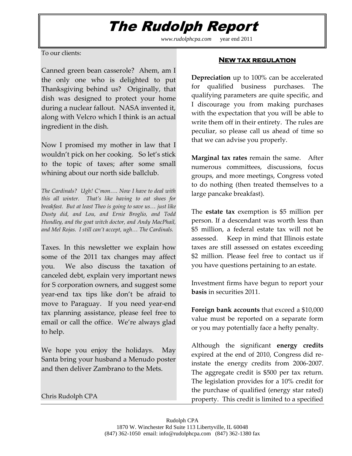## The Rudolph Report

*www.rudolphcpa.com* year end 2011

#### To our clients:

Canned green bean casserole? Ahem, am I the only one who is delighted to put Thanksgiving behind us? Originally, that dish was designed to protect your home during a nuclear fallout. NASA invented it, along with Velcro which I think is an actual ingredient in the dish.

Now I promised my mother in law that I wouldn't pick on her cooking. So let's stick to the topic of taxes; after some small whining about our north side ballclub.

*The Cardinals? Ugh! C'mon…. Now I have to deal with this all winter. That's like having to eat shoes for breakfast. But at least Theo is going to save us… just like Dusty did, and Lou, and Ernie Broglio, and Todd Hundley, and the goat witch doctor, and Andy MacPhail, and Mel Rojas. I still can't accept, ugh… The Cardinals.* 

Taxes. In this newsletter we explain how some of the 2011 tax changes may affect you. We also discuss the taxation of canceled debt, explain very important news for S corporation owners, and suggest some year-end tax tips like don't be afraid to move to Paraguay. If you need year-end tax planning assistance, please feel free to email or call the office. We're always glad to help.

We hope you enjoy the holidays. May Santa bring your husband a Menudo poster and then deliver Zambrano to the Mets.

Chris Rudolph CPA

### **New tax regulation**

**Depreciation** up to 100% can be accelerated for qualified business purchases. The qualifying parameters are quite specific, and I discourage you from making purchases with the expectation that you will be able to write them off in their entirety. The rules are peculiar, so please call us ahead of time so that we can advise you properly.

**Marginal tax rates** remain the same. After numerous committees, discussions, focus groups, and more meetings, Congress voted to do nothing (then treated themselves to a large pancake breakfast).

The **estate tax** exemption is \$5 million per person. If a descendant was worth less than \$5 million, a federal estate tax will not be assessed. Keep in mind that Illinois estate taxes are still assessed on estates exceeding \$2 million. Please feel free to contact us if you have questions pertaining to an estate.

Investment firms have begun to report your **basis** in securities 2011.

**Foreign bank accounts** that exceed a \$10,000 value must be reported on a separate form or you may potentially face a hefty penalty.

Although the significant **energy credits** expired at the end of 2010, Congress did reinstate the energy credits from 2006-2007. The aggregate credit is \$500 per tax return. The legislation provides for a 10% credit for the purchase of qualified (energy star rated) property. This credit is limited to a specified